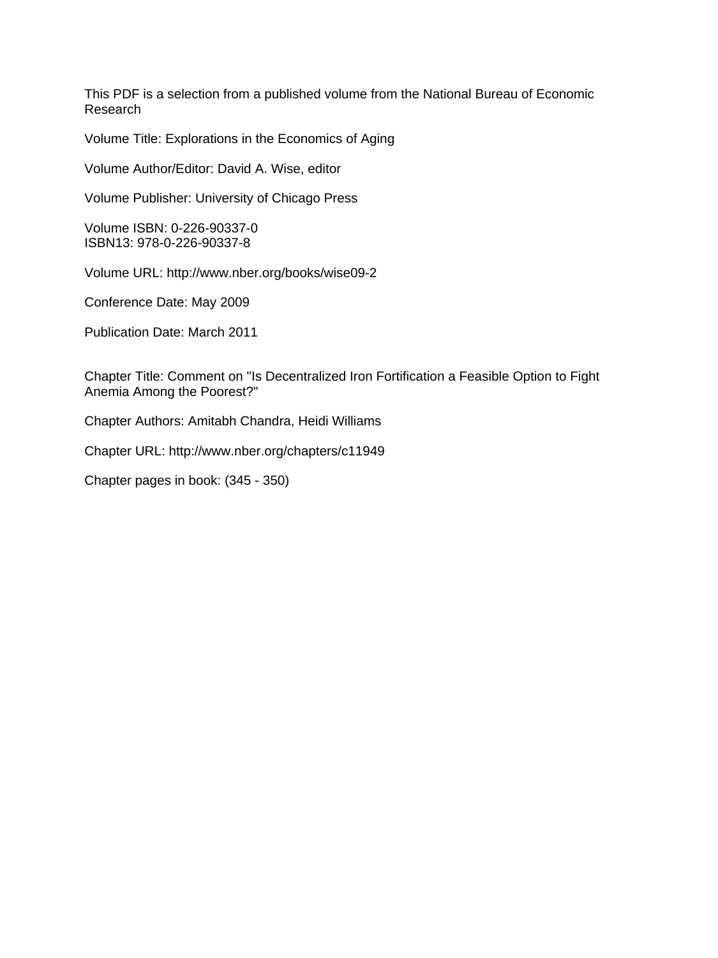This PDF is a selection from a published volume from the National Bureau of Economic Research

Volume Title: Explorations in the Economics of Aging

Volume Author/Editor: David A. Wise, editor

Volume Publisher: University of Chicago Press

Volume ISBN: 0-226-90337-0 ISBN13: 978-0-226-90337-8

Volume URL: http://www.nber.org/books/wise09-2

Conference Date: May 2009

Publication Date: March 2011

Chapter Title: Comment on "Is Decentralized Iron Fortification a Feasible Option to Fight Anemia Among the Poorest?"

Chapter Authors: Amitabh Chandra, Heidi Williams

Chapter URL: http://www.nber.org/chapters/c11949

Chapter pages in book: (345 - 350)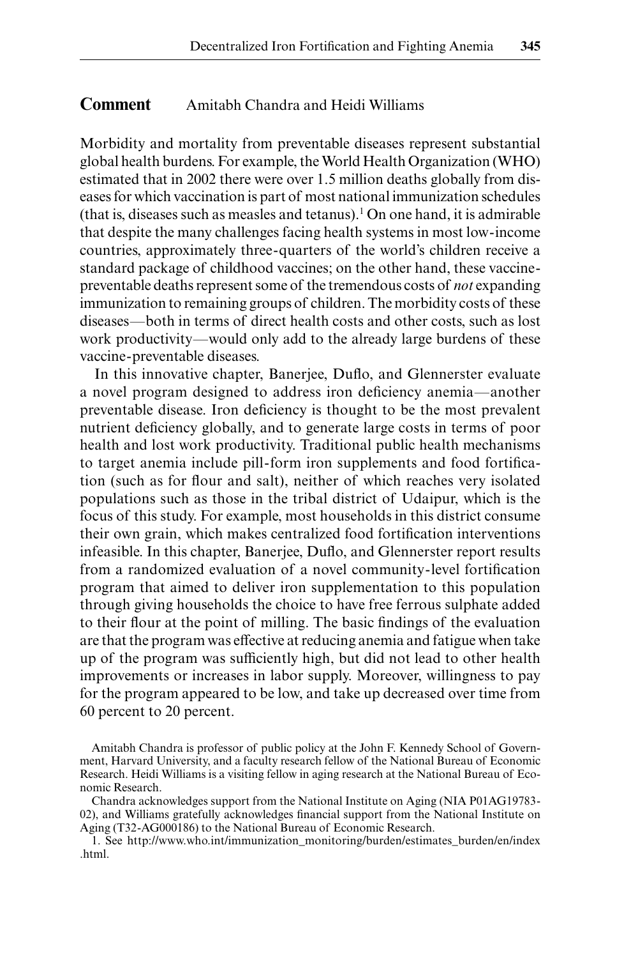# **Comment** Amitabh Chandra and Heidi Williams

Morbidity and mortality from preventable diseases represent substantial global health burdens. For example, the World Health Organization (WHO) estimated that in 2002 there were over 1.5 million deaths globally from diseases for which vaccination is part of most national immunization schedules (that is, diseases such as measles and tetanus).<sup>1</sup> On one hand, it is admirable that despite the many challenges facing health systems in most low- income countries, approximately three- quarters of the world's children receive a standard package of childhood vaccines; on the other hand, these vaccine preventable deaths represent some of the tremendous costs of *not* expanding immunization to remaining groups of children. The morbidity costs of these diseases—both in terms of direct health costs and other costs, such as lost work productivity—would only add to the already large burdens of these vaccine- preventable diseases.

In this innovative chapter, Banerjee, Duflo, and Glennerster evaluate a novel program designed to address iron deficiency anemia—another preventable disease. Iron deficiency is thought to be the most prevalent nutrient deficiency globally, and to generate large costs in terms of poor health and lost work productivity. Traditional public health mechanisms to target anemia include pill-form iron supplements and food fortification (such as for flour and salt), neither of which reaches very isolated populations such as those in the tribal district of Udaipur, which is the focus of this study. For example, most households in this district consume their own grain, which makes centralized food fortification interventions infeasible. In this chapter, Banerjee, Duflo, and Glennerster report results from a randomized evaluation of a novel community-level fortification program that aimed to deliver iron supplementation to this population through giving households the choice to have free ferrous sulphate added to their flour at the point of milling. The basic findings of the evaluation are that the program was effective at reducing anemia and fatigue when take up of the program was sufficiently high, but did not lead to other health improvements or increases in labor supply. Moreover, willingness to pay for the program appeared to be low, and take up decreased over time from 60 percent to 20 percent.

1. See http://www.who.int/immunization\_monitoring/burden/estimates\_burden/en/index .html.

Amitabh Chandra is professor of public policy at the John F. Kennedy School of Government, Harvard University, and a faculty research fellow of the National Bureau of Economic Research. Heidi Williams is a visiting fellow in aging research at the National Bureau of Economic Research.

Chandra acknowledges support from the National Institute on Aging (NIA P01AG19783- 02), and Williams gratefully acknowledges financial support from the National Institute on Aging (T32- AG000186) to the National Bureau of Economic Research.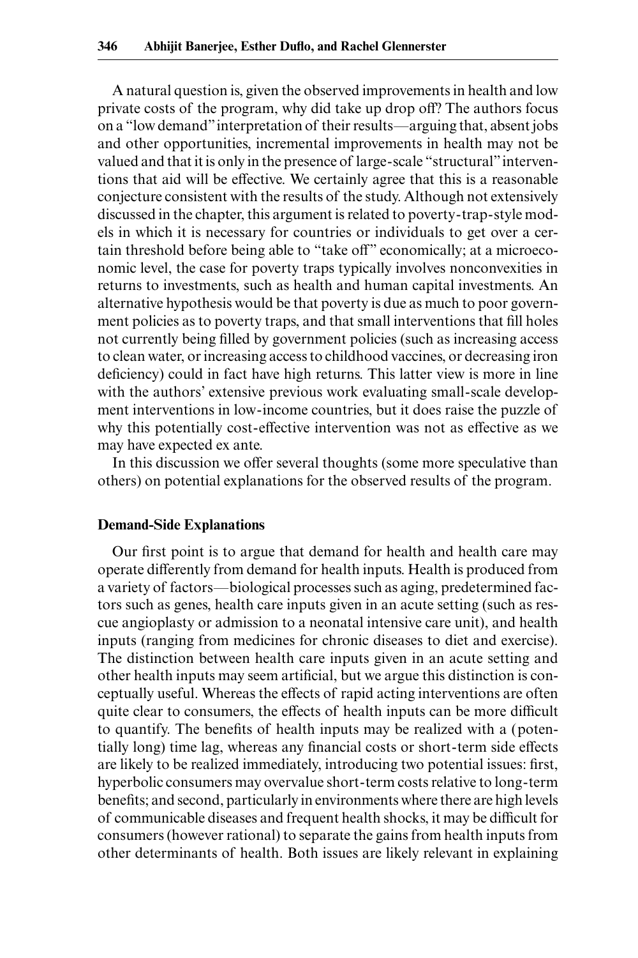A natural question is, given the observed improvements in health and low private costs of the program, why did take up drop off? The authors focus on a "low demand" interpretation of their results—arguing that, absent jobs and other opportunities, incremental improvements in health may not be valued and that it is only in the presence of large- scale "structural" interventions that aid will be effective. We certainly agree that this is a reasonable conjecture consistent with the results of the study. Although not extensively discussed in the chapter, this argument is related to poverty- trap- style models in which it is necessary for countries or individuals to get over a certain threshold before being able to "take off" economically; at a microecono mic level, the case for poverty traps typically involves nonconvexities in returns to investments, such as health and human capital investments. An alternative hypothesis would be that poverty is due as much to poor government policies as to poverty traps, and that small interventions that fill holes not currently being filled by government policies (such as increasing access to clean water, or increasing access to childhood vaccines, or decreasing iron deficiency) could in fact have high returns. This latter view is more in line with the authors' extensive previous work evaluating small- scale development interventions in low- income countries, but it does raise the puzzle of why this potentially cost-effective intervention was not as effective as we may have expected ex ante.

In this discussion we offer several thoughts (some more speculative than others) on potential explanations for the observed results of the program.

## **Demand- Side Explanations**

Our first point is to argue that demand for health and health care may operate differently from demand for health inputs. Health is produced from a variety of factors—biological processes such as aging, predetermined factors such as genes, health care inputs given in an acute setting (such as rescue angioplasty or admission to a neonatal intensive care unit), and health inputs (ranging from medicines for chronic diseases to diet and exercise). The distinction between health care inputs given in an acute setting and other health inputs may seem artificial, but we argue this distinction is conceptually useful. Whereas the effects of rapid acting interventions are often quite clear to consumers, the effects of health inputs can be more difficult to quantify. The benefits of health inputs may be realized with a (potentially long) time lag, whereas any financial costs or short-term side effects are likely to be realized immediately, introducing two potential issues: first, hyperbolic consumers may overvalue short- term costs relative to long- term benefits; and second, particularly in environments where there are high levels of communicable diseases and frequent health shocks, it may be difficult for consumers (however rational) to separate the gains from health inputs from other determinants of health. Both issues are likely relevant in explaining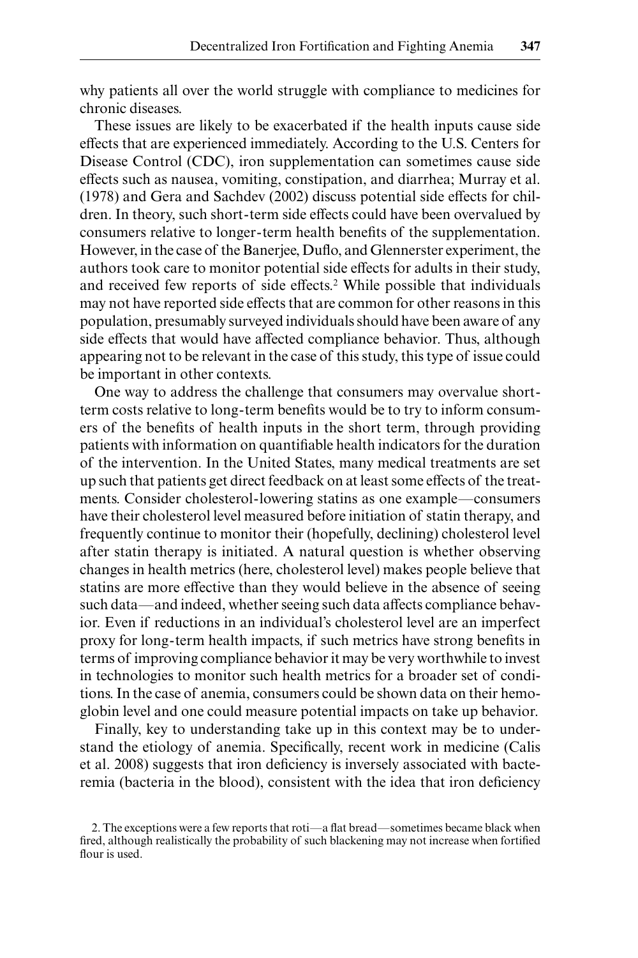why patients all over the world struggle with compliance to medicines for chronic diseases.

These issues are likely to be exacerbated if the health inputs cause side effects that are experienced immediately. According to the U.S. Centers for Disease Control (CDC), iron supplementation can sometimes cause side effects such as nausea, vomiting, constipation, and diarrhea; Murray et al. (1978) and Gera and Sachdev (2002) discuss potential side effects for children. In theory, such short- term side effects could have been overvalued by consumers relative to longer-term health benefits of the supplementation. However, in the case of the Banerjee, Duflo, and Glennerster experiment, the authors took care to monitor potential side effects for adults in their study, and received few reports of side effects.<sup>2</sup> While possible that individuals may not have reported side effects that are common for other reasons in this population, presumably surveyed individuals should have been aware of any side effects that would have affected compliance behavior. Thus, although appearing not to be relevant in the case of this study, this type of issue could be important in other contexts.

One way to address the challenge that consumers may overvalue short term costs relative to long-term benefits would be to try to inform consumers of the benefits of health inputs in the short term, through providing patients with information on quantifiable health indicators for the duration of the intervention. In the United States, many medical treatments are set up such that patients get direct feedback on at least some effects of the treatments. Consider cholesterol- lowering statins as one example—consumers have their cholesterol level measured before initiation of statin therapy, and frequently continue to monitor their (hopefully, declining) cholesterol level after statin therapy is initiated. A natural question is whether observing changes in health metrics (here, cholesterol level) makes people believe that statins are more effective than they would believe in the absence of seeing such data—and indeed, whether seeing such data affects compliance behavior. Even if reductions in an individual's cholesterol level are an imperfect proxy for long-term health impacts, if such metrics have strong benefits in terms of improving compliance behavior it may be very worthwhile to invest in technologies to monitor such health metrics for a broader set of conditions. In the case of anemia, consumers could be shown data on their hemoglobin level and one could measure potential impacts on take up behavior.

Finally, key to understanding take up in this context may be to understand the etiology of anemia. Specifically, recent work in medicine (Calis et al. 2008) suggests that iron deficiency is inversely associated with bacteremia (bacteria in the blood), consistent with the idea that iron deficiency

<sup>2.</sup> The exceptions were a few reports that roti—a flat bread—sometimes became black when fired, although realistically the probability of such blackening may not increase when fortified flour is used.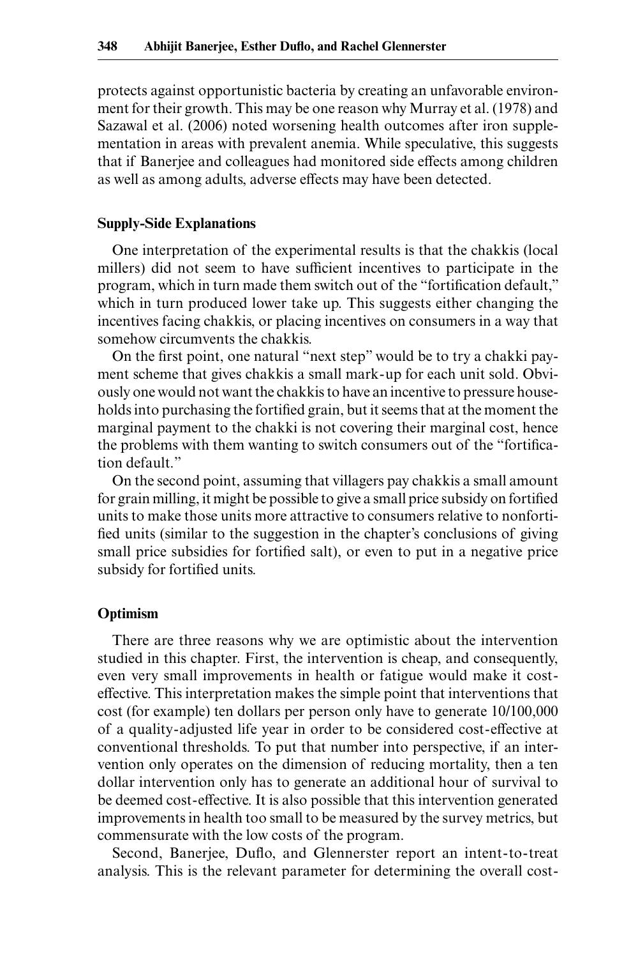protects against opportunistic bacteria by creating an unfavorable environment for their growth. This may be one reason why Murray et al. (1978) and Sazawal et al. (2006) noted worsening health outcomes after iron supplementation in areas with prevalent anemia. While speculative, this suggests that if Banerjee and colleagues had monitored side effects among children as well as among adults, adverse effects may have been detected.

#### **Supply- Side Explanations**

One interpretation of the experimental results is that the chakkis (local millers) did not seem to have sufficient incentives to participate in the program, which in turn made them switch out of the "fortification default," which in turn produced lower take up. This suggests either changing the incentives facing chakkis, or placing incentives on consumers in a way that somehow circumvents the chakkis.

On the first point, one natural "next step" would be to try a chakki payment scheme that gives chakkis a small mark- up for each unit sold. Obviously one would not want the chakkis to have an incentive to pressure households into purchasing the fortified grain, but it seems that at the moment the marginal payment to the chakki is not covering their marginal cost, hence the problems with them wanting to switch consumers out of the "fortification default."

On the second point, assuming that villagers pay chakkis a small amount for grain milling, it might be possible to give a small price subsidy on fortified units to make those units more attractive to consumers relative to nonfortified units (similar to the suggestion in the chapter's conclusions of giving small price subsidies for fortified salt), or even to put in a negative price subsidy for fortified units.

### **Optimism**

There are three reasons why we are optimistic about the intervention studied in this chapter. First, the intervention is cheap, and consequently, even very small improvements in health or fatigue would make it cost effective. This interpretation makes the simple point that interventions that cost (for example) ten dollars per person only have to generate 10/100,000 of a quality- adjusted life year in order to be considered cost- effective at conventional thresholds. To put that number into perspective, if an intervention only operates on the dimension of reducing mortality, then a ten dollar intervention only has to generate an additional hour of survival to be deemed cost- effective. It is also possible that this intervention generated improvements in health too small to be measured by the survey metrics, but commensurate with the low costs of the program.

Second, Banerjee, Duflo, and Glennerster report an intent-to-treat analysis. This is the relevant parameter for determining the overall cost-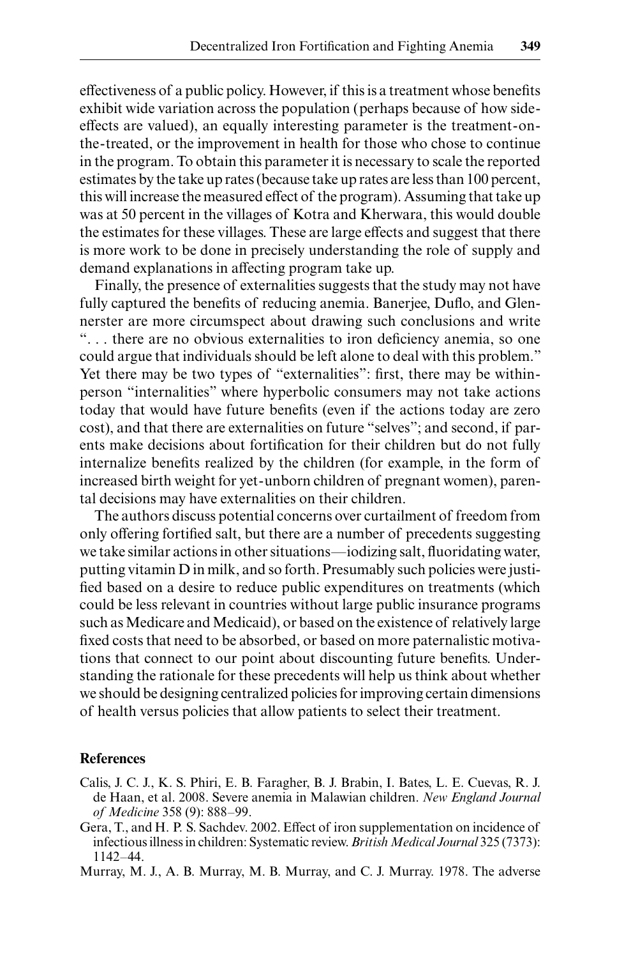effectiveness of a public policy. However, if this is a treatment whose benefits exhibit wide variation across the population (perhaps because of how side effects are valued), an equally interesting parameter is the treatment- on the- treated, or the improvement in health for those who chose to continue in the program. To obtain this parameter it is necessary to scale the reported estimates by the take up rates (because take up rates are less than 100 percent, this will increase the measured effect of the program). Assuming that take up was at 50 percent in the villages of Kotra and Kherwara, this would double the estimates for these villages. These are large effects and suggest that there is more work to be done in precisely understanding the role of supply and demand explanations in affecting program take up.

Finally, the presence of externalities suggests that the study may not have fully captured the benefits of reducing anemia. Banerjee, Duflo, and Glennerster are more circumspect about drawing such conclusions and write "... there are no obvious externalities to iron deficiency anemia, so one could argue that individuals should be left alone to deal with this problem." Yet there may be two types of "externalities": first, there may be within person "internalities" where hyperbolic consumers may not take actions today that would have future benefits (even if the actions today are zero cost), and that there are externalities on future "selves"; and second, if parents make decisions about fortification for their children but do not fully internalize benefits realized by the children (for example, in the form of increased birth weight for yet- unborn children of pregnant women), parental decisions may have externalities on their children.

The authors discuss potential concerns over curtailment of freedom from only offering fortified salt, but there are a number of precedents suggesting we take similar actions in other situations—iodizing salt, fluoridating water, putting vitamin D in milk, and so forth. Presumably such policies were justified based on a desire to reduce public expenditures on treatments (which could be less relevant in countries without large public insurance programs such as Medicare and Medicaid), or based on the existence of relatively large fixed costs that need to be absorbed, or based on more paternalistic motivations that connect to our point about discounting future benefits. Understanding the rationale for these precedents will help us think about whether we should be designing centralized policies for improving certain dimensions of health versus policies that allow patients to select their treatment.

#### **References**

- Calis, J. C. J., K. S. Phiri, E. B. Faragher, B. J. Brabin, I. Bates, L. E. Cuevas, R. J. de Haan, et al. 2008. Severe anemia in Malawian children. *New England Journal of Medicine* 358 (9): 888–99.
- Gera, T., and H. P. S. Sachdev. 2002. Effect of iron supplementation on incidence of infectious illness in children: Systematic review. *British Medical Journal* 325 (7373): 1142–44.

Murray, M. J., A. B. Murray, M. B. Murray, and C. J. Murray. 1978. The adverse